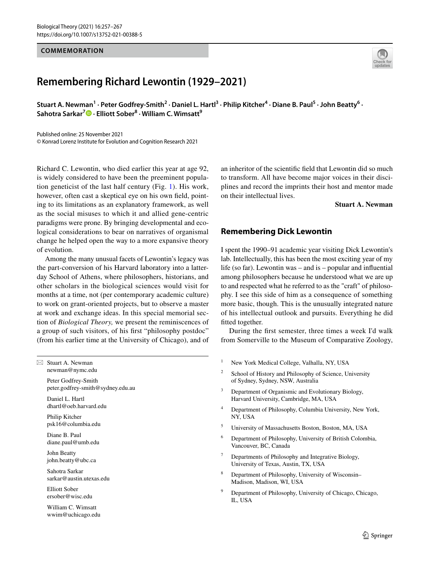#### **COMMEMORATION**

# **Remembering Richard Lewontin (1929–2021)**

Stuart A. Newman<sup>1</sup> · Peter Godfrey-Smith<sup>2</sup> · Daniel L. Hartl<sup>3</sup> · Philip Kitcher<sup>4</sup> · Diane B. Paul<sup>5</sup> · John Beatty<sup>6</sup> · **Sahotra Sarkar7 · Elliott Sober8 · William C. Wimsatt9**

Published online: 25 November 2021 © Konrad Lorenz Institute for Evolution and Cognition Research 2021

Richard C. Lewontin, who died earlier this year at age 92, is widely considered to have been the preeminent population geneticist of the last half century (Fig. [1](#page-1-0)). His work, however, often cast a skeptical eye on his own feld, pointing to its limitations as an explanatory framework, as well as the social misuses to which it and allied gene-centric paradigms were prone. By bringing developmental and ecological considerations to bear on narratives of organismal change he helped open the way to a more expansive theory of evolution.

Among the many unusual facets of Lewontin's legacy was the part-conversion of his Harvard laboratory into a latterday School of Athens, where philosophers, historians, and other scholars in the biological sciences would visit for months at a time, not (per contemporary academic culture) to work on grant-oriented projects, but to observe a master at work and exchange ideas. In this special memorial section of *Biological Theory,* we present the reminiscences of a group of such visitors, of his frst "philosophy postdoc" (from his earlier time at the University of Chicago), and of

 $\boxtimes$  Stuart A. Newman newman@nymc.edu

> Peter Godfrey-Smith peter.godfrey-smith@sydney.edu.au

Daniel L. Hartl dhartl@oeb.harvard.edu

Philip Kitcher psk16@columbia.edu

Diane B. Paul diane.paul@umb.edu

John Beatty john.beatty@ubc.ca

Sahotra Sarkar sarkar@austin.utexas.edu

Elliott Sober ersober@wisc.edu

William C. Wimsatt wwim@uchicago.edu an inheritor of the scientifc feld that Lewontin did so much to transform. All have become major voices in their disciplines and record the imprints their host and mentor made on their intellectual lives.

**Stuart A. Newman**

## **Remembering Dick Lewontin**

I spent the 1990–91 academic year visiting Dick Lewontin's lab. Intellectually, this has been the most exciting year of my life (so far). Lewontin was – and is – popular and infuential among philosophers because he understood what we are up to and respected what he referred to as the "craft" of philosophy. I see this side of him as a consequence of something more basic, though. This is the unusually integrated nature of his intellectual outlook and pursuits. Everything he did fitted together.

During the frst semester, three times a week I'd walk from Somerville to the Museum of Comparative Zoology,

- <sup>1</sup> New York Medical College, Valhalla, NY, USA
- <sup>2</sup> School of History and Philosophy of Science, University of Sydney, Sydney, NSW, Australia
- Department of Organismic and Evolutionary Biology, Harvard University, Cambridge, MA, USA
- <sup>4</sup> Department of Philosophy, Columbia University, New York, NY, USA
- <sup>5</sup> University of Massachusetts Boston, Boston, MA, USA
- <sup>6</sup> Department of Philosophy, University of British Colombia, Vancouver, BC, Canada
- Departments of Philosophy and Integrative Biology, University of Texas, Austin, TX, USA
- <sup>8</sup> Department of Philosophy, University of Wisconsin– Madison, Madison, WI, USA
- <sup>9</sup> Department of Philosophy, University of Chicago, Chicago, IL, USA

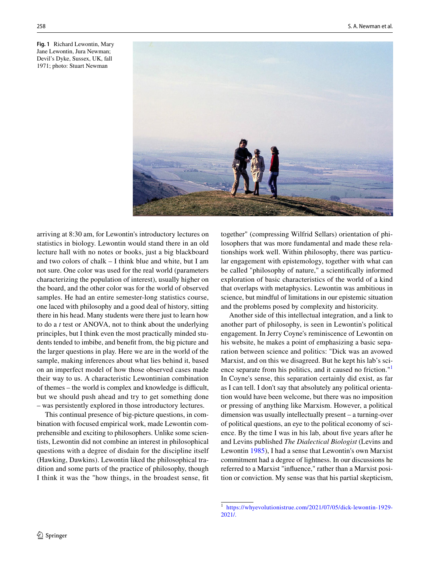<span id="page-1-0"></span>**Fig. 1** Richard Lewontin, Mary Jane Lewontin, Jura Newman; Devil's Dyke, Sussex, UK, fall 1971; photo: Stuart Newman



arriving at 8:30 am, for Lewontin's introductory lectures on statistics in biology. Lewontin would stand there in an old lecture hall with no notes or books, just a big blackboard and two colors of chalk – I think blue and white, but I am not sure. One color was used for the real world (parameters characterizing the population of interest), usually higher on the board, and the other color was for the world of observed samples. He had an entire semester-long statistics course, one laced with philosophy and a good deal of history, sitting there in his head. Many students were there just to learn how to do a *t* test or ANOVA, not to think about the underlying principles, but I think even the most practically minded students tended to imbibe, and beneft from, the big picture and the larger questions in play. Here we are in the world of the sample, making inferences about what lies behind it, based on an imperfect model of how those observed cases made their way to us. A characteristic Lewontinian combination of themes – the world is complex and knowledge is difficult, but we should push ahead and try to get something done – was persistently explored in those introductory lectures.

This continual presence of big-picture questions, in combination with focused empirical work, made Lewontin comprehensible and exciting to philosophers. Unlike some scientists, Lewontin did not combine an interest in philosophical questions with a degree of disdain for the discipline itself (Hawking, Dawkins). Lewontin liked the philosophical tradition and some parts of the practice of philosophy, though I think it was the "how things, in the broadest sense, ft together" (compressing Wilfrid Sellars) orientation of philosophers that was more fundamental and made these relationships work well. Within philosophy, there was particular engagement with epistemology, together with what can be called "philosophy of nature," a scientifcally informed exploration of basic characteristics of the world of a kind that overlaps with metaphysics. Lewontin was ambitious in science, but mindful of limitations in our epistemic situation and the problems posed by complexity and historicity.

Another side of this intellectual integration, and a link to another part of philosophy, is seen in Lewontin's political engagement. In Jerry Coyne's reminiscence of Lewontin on his website, he makes a point of emphasizing a basic separation between science and politics: "Dick was an avowed Marxist, and on this we disagreed. But he kept his lab's sci-ence separate from his politics, and it caused no friction."<sup>[1](#page-1-1)</sup> In Coyne's sense, this separation certainly did exist, as far as I can tell. I don't say that absolutely any political orientation would have been welcome, but there was no imposition or pressing of anything like Marxism. However, a political dimension was usually intellectually present – a turning-over of political questions, an eye to the political economy of science. By the time I was in his lab, about five years after he and Levins published *The Dialectical Biologist* (Levins and Lewontin [1985\)](#page-10-0), I had a sense that Lewontin's own Marxist commitment had a degree of lightness. In our discussions he referred to a Marxist "infuence," rather than a Marxist position or conviction. My sense was that his partial skepticism,

<span id="page-1-1"></span><sup>1</sup> [https://whyevolutionistrue.com/2021/07/05/dick-lewontin-1929-](https://whyevolutionistrue.com/2021/07/05/dick-lewontin-1929-2021/.) [2021/.](https://whyevolutionistrue.com/2021/07/05/dick-lewontin-1929-2021/.)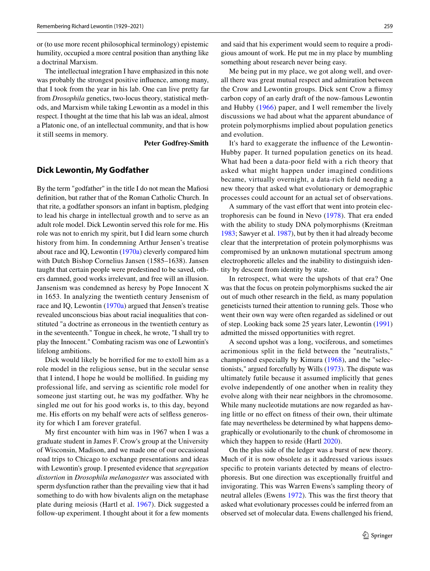or (to use more recent philosophical terminology) epistemic humility, occupied a more central position than anything like a doctrinal Marxism.

The intellectual integration I have emphasized in this note was probably the strongest positive infuence, among many, that I took from the year in his lab. One can live pretty far from *Drosophila* genetics, two-locus theory, statistical methods, and Marxism while taking Lewontin as a model in this respect. I thought at the time that his lab was an ideal, almost a Platonic one, of an intellectual community, and that is how it still seems in memory.

**Peter Godfrey-Smith**

#### **Dick Lewontin, My Godfather**

By the term "godfather" in the title I do not mean the Mafosi defnition, but rather that of the Roman Catholic Church. In that rite, a godfather sponsors an infant in baptism, pledging to lead his charge in intellectual growth and to serve as an adult role model. Dick Lewontin served this role for me. His role was not to enrich my spirit, but I did learn some church history from him. In condemning Arthur Jensen's treatise about race and IQ, Lewontin ([1970a](#page-10-1)) cleverly compared him with Dutch Bishop Cornelius Jansen (1585–1638). Jansen taught that certain people were predestined to be saved, others damned, good works irrelevant, and free will an illusion. Jansenism was condemned as heresy by Pope Innocent X in 1653. In analyzing the twentieth century Jensenism of race and IQ, Lewontin ([1970a\)](#page-10-1) argued that Jensen's treatise revealed unconscious bias about racial inequalities that constituted "a doctrine as erroneous in the twentieth century as in the seventeenth." Tongue in cheek, he wrote, "I shall try to play the Innocent." Combating racism was one of Lewontin's lifelong ambitions.

Dick would likely be horrifed for me to extoll him as a role model in the religious sense, but in the secular sense that I intend, I hope he would be mollifed. In guiding my professional life, and serving as scientifc role model for someone just starting out, he was my godfather. Why he singled me out for his good works is, to this day, beyond me. His efforts on my behalf were acts of selfless generosity for which I am forever grateful.

My frst encounter with him was in 1967 when I was a graduate student in James F. Crow's group at the University of Wisconsin, Madison, and we made one of our occasional road trips to Chicago to exchange presentations and ideas with Lewontin's group. I presented evidence that *segregation distortion* in *Drosophila melanogaster* was associated with sperm dysfunction rather than the prevailing view that it had something to do with how bivalents align on the metaphase plate during meiosis (Hartl et al. [1967\)](#page-10-2). Dick suggested a follow-up experiment. I thought about it for a few moments and said that his experiment would seem to require a prodigious amount of work. He put me in my place by mumbling something about research never being easy.

Me being put in my place, we got along well, and overall there was great mutual respect and admiration between the Crow and Lewontin groups. Dick sent Crow a fimsy carbon copy of an early draft of the now-famous Lewontin and Hubby ([1966](#page-10-3)) paper, and I well remember the lively discussions we had about what the apparent abundance of protein polymorphisms implied about population genetics and evolution.

It's hard to exaggerate the infuence of the Lewontin-Hubby paper. It turned population genetics on its head. What had been a data-poor feld with a rich theory that asked what might happen under imagined conditions became, virtually overnight, a data-rich feld needing a new theory that asked what evolutionary or demographic processes could account for an actual set of observations.

A summary of the vast effort that went into protein electrophoresis can be found in Nevo ([1978\)](#page-10-4). That era ended with the ability to study DNA polymorphisms (Kreitman [1983](#page-10-5); Sawyer et al. [1987](#page-10-6)), but by then it had already become clear that the interpretation of protein polymorphisms was compromised by an unknown mutational spectrum among electrophoretic alleles and the inability to distinguish identity by descent from identity by state.

In retrospect, what were the upshots of that era? One was that the focus on protein polymorphisms sucked the air out of much other research in the feld, as many population geneticists turned their attention to running gels. Those who went their own way were often regarded as sidelined or out of step. Looking back some 25 years later, Lewontin ([1991\)](#page-10-7) admitted the missed opportunities with regret.

A second upshot was a long, vociferous, and sometimes acrimonious split in the feld between the "neutralists," championed especially by Kimura [\(1968\)](#page-10-8), and the "selectionists," argued forcefully by Wills [\(1973](#page-10-9)). The dispute was ultimately futile because it assumed implicitly that genes evolve independently of one another when in reality they evolve along with their near neighbors in the chromosome. While many nucleotide mutations are now regarded as having little or no efect on ftness of their own, their ultimate fate may nevertheless be determined by what happens demographically or evolutionarily to the chunk of chromosome in which they happen to reside (Hartl [2020](#page-10-10)).

On the plus side of the ledger was a burst of new theory. Much of it is now obsolete as it addressed various issues specifc to protein variants detected by means of electrophoresis. But one direction was exceptionally fruitful and invigorating. This was Warren Ewens's sampling theory of neutral alleles (Ewens [1972\)](#page-10-11). This was the frst theory that asked what evolutionary processes could be inferred from an observed set of molecular data. Ewens challenged his friend,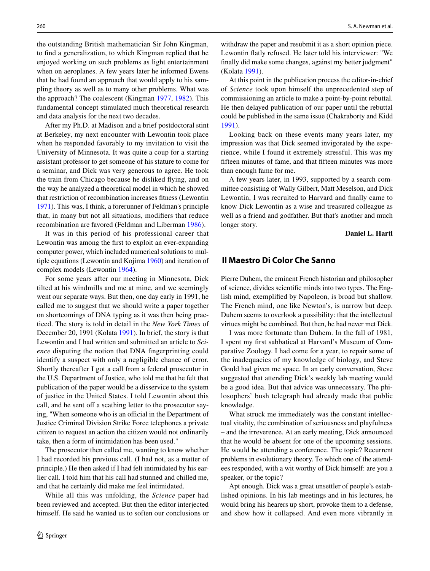the outstanding British mathematician Sir John Kingman, to fnd a generalization, to which Kingman replied that he enjoyed working on such problems as light entertainment when on aeroplanes. A few years later he informed Ewens that he had found an approach that would apply to his sampling theory as well as to many other problems. What was the approach? The coalescent (Kingman [1977](#page-10-12), [1982\)](#page-10-13). This fundamental concept stimulated much theoretical research and data analysis for the next two decades.

After my Ph.D. at Madison and a brief postdoctoral stint at Berkeley, my next encounter with Lewontin took place when he responded favorably to my invitation to visit the University of Minnesota. It was quite a coup for a starting assistant professor to get someone of his stature to come for a seminar, and Dick was very generous to agree. He took the train from Chicago because he disliked fying, and on the way he analyzed a theoretical model in which he showed that restriction of recombination increases ftness (Lewontin [1971\)](#page-10-14). This was, I think, a forerunner of Feldman's principle that, in many but not all situations, modifers that reduce recombination are favored (Feldman and Liberman [1986](#page-10-15)).

It was in this period of his professional career that Lewontin was among the frst to exploit an ever-expanding computer power, which included numerical solutions to multiple equations (Lewontin and Kojima [1960](#page-10-16)) and iteration of complex models (Lewontin [1964\)](#page-10-17).

For some years after our meeting in Minnesota, Dick tilted at his windmills and me at mine, and we seemingly went our separate ways. But then, one day early in 1991, he called me to suggest that we should write a paper together on shortcomings of DNA typing as it was then being practiced. The story is told in detail in the *New York Times* of December 20, 1991 (Kolata [1991\)](#page-10-18). In brief, the story is that Lewontin and I had written and submitted an article to *Science* disputing the notion that DNA fngerprinting could identify a suspect with only a negligible chance of error. Shortly thereafter I got a call from a federal prosecutor in the U.S. Department of Justice, who told me that he felt that publication of the paper would be a disservice to the system of justice in the United States. I told Lewontin about this call, and he sent off a scathing letter to the prosecutor saying, "When someone who is an official in the Department of Justice Criminal Division Strike Force telephones a private citizen to request an action the citizen would not ordinarily take, then a form of intimidation has been used."

The prosecutor then called me, wanting to know whether I had recorded his previous call. (I had not, as a matter of principle.) He then asked if I had felt intimidated by his earlier call. I told him that his call had stunned and chilled me, and that he certainly did make me feel intimidated.

While all this was unfolding, the *Science* paper had been reviewed and accepted. But then the editor interjected himself. He said he wanted us to soften our conclusions or withdraw the paper and resubmit it as a short opinion piece. Lewontin fatly refused. He later told his interviewer: "We fnally did make some changes, against my better judgment" (Kolata [1991](#page-10-18)).

At this point in the publication process the editor-in-chief of *Science* took upon himself the unprecedented step of commissioning an article to make a point-by-point rebuttal. He then delayed publication of our paper until the rebuttal could be published in the same issue (Chakraborty and Kidd [1991](#page-10-19)).

Looking back on these events many years later, my impression was that Dick seemed invigorated by the experience, while I found it extremely stressful. This was my ffteen minutes of fame, and that ffteen minutes was more than enough fame for me.

A few years later, in 1993, supported by a search committee consisting of Wally Gilbert, Matt Meselson, and Dick Lewontin, I was recruited to Harvard and fnally came to know Dick Lewontin as a wise and treasured colleague as well as a friend and godfather. But that's another and much longer story.

**Daniel L. Hartl**

### **Il Maestro Di Color Che Sanno**

Pierre Duhem, the eminent French historian and philosopher of science, divides scientifc minds into two types. The English mind, exemplifed by Napoleon, is broad but shallow. The French mind, one like Newton's, is narrow but deep. Duhem seems to overlook a possibility: that the intellectual virtues might be combined. But then, he had never met Dick.

I was more fortunate than Duhem. In the fall of 1981, I spent my frst sabbatical at Harvard's Museum of Comparative Zoology. I had come for a year, to repair some of the inadequacies of my knowledge of biology, and Steve Gould had given me space. In an early conversation, Steve suggested that attending Dick's weekly lab meeting would be a good idea. But that advice was unnecessary. The philosophers' bush telegraph had already made that public knowledge.

What struck me immediately was the constant intellectual vitality, the combination of seriousness and playfulness – and the irreverence. At an early meeting, Dick announced that he would be absent for one of the upcoming sessions. He would be attending a conference. The topic? Recurrent problems in evolutionary theory. To which one of the attendees responded, with a wit worthy of Dick himself: are you a speaker, or the topic?

Apt enough. Dick was a great unsettler of people's established opinions. In his lab meetings and in his lectures, he would bring his hearers up short, provoke them to a defense, and show how it collapsed. And even more vibrantly in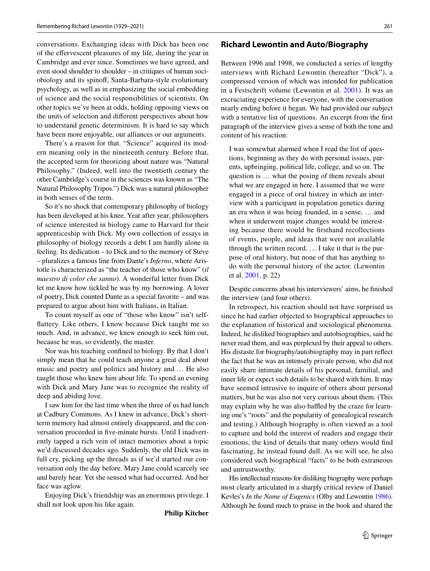conversations. Exchanging ideas with Dick has been one of the efervescent pleasures of my life, during the year in Cambridge and ever since. Sometimes we have agreed, and even stood shoulder to shoulder – in critiques of human sociobiology and its spinof, Santa-Barbara-style evolutionary psychology, as well as in emphasizing the social embedding of science and the social responsibilities of scientists. On other topics we've been at odds, holding opposing views on the units of selection and diferent perspectives about how to understand genetic determinism. It is hard to say which have been more enjoyable, our alliances or our arguments.

There's a reason for that. "Science" acquired its modern meaning only in the nineteenth century. Before that, the accepted term for theorizing about nature was "Natural Philosophy." (Indeed, well into the twentieth century the other Cambridge's course in the sciences was known as "The Natural Philosophy Tripos.") Dick was a natural philosopher in both senses of the term.

So it's no shock that contemporary philosophy of biology has been developed at his knee. Year after year, philosophers of science interested in biology came to Harvard for their apprenticeship with Dick. My own collection of essays in philosophy of biology records a debt I am hardly alone in feeling. Its dedication – to Dick and to the memory of Steve – pluralizes a famous line from Dante's *Inferno*, where Aristotle is characterized as "the teacher of those who know" (*il maestro di color che sanno*). A wonderful letter from Dick let me know how tickled he was by my borrowing. A lover of poetry, Dick counted Dante as a special favorite – and was prepared to argue about him with Italians, in Italian.

To count myself as one of "those who know" isn't selffattery. Like others, I know because Dick taught me so much. And, in advance, we knew enough to seek him out, because he was, so evidently, the master.

Nor was his teaching confned to biology. By that I don't simply mean that he could teach anyone a great deal about music and poetry and politics and history and … He also taught those who knew him about life. To spend an evening with Dick and Mary Jane was to recognize the reality of deep and abiding love.

I saw him for the last time when the three of us had lunch at Cadbury Commons. As I knew in advance, Dick's shortterm memory had almost entirely disappeared, and the conversation proceeded in fve-minute bursts. Until I inadvertently tapped a rich vein of intact memories about a topic we'd discussed decades ago. Suddenly, the old Dick was in full cry, picking up the threads as if we'd started our conversation only the day before. Mary Jane could scarcely see and barely hear. Yet she sensed what had occurred. And her face was aglow.

Enjoying Dick's friendship was an enormous privilege. I shall not look upon his like again.

**Philip Kitcher**

#### **Richard Lewontin and Auto/Biography**

Between 1996 and 1998, we conducted a series of lengthy interviews with Richard Lewontin (hereafter "Dick"), a compressed version of which was intended for publication in a Festschrift volume (Lewontin et al. [2001\)](#page-10-20). It was an excruciating experience for everyone, with the conversation nearly ending before it began. We had provided our subject with a tentative list of questions. An excerpt from the frst paragraph of the interview gives a sense of both the tone and content of his reaction:

I was somewhat alarmed when I read the list of questions, beginning as they do with personal issues, parents, upbringing, political life, college, and so on. The question is … what the posing of them reveals about what we are engaged in here. I assumed that we were engaged in a piece of oral history in which an interview with a participant in population genetics during an era when it was being founded, in a sense, … and when it underwent major changes would be interesting because there would be frsthand recollections of events, people, and ideas that were not available through the written record. … I take it that is the purpose of oral history, but none of that has anything to do with the personal history of the actor. (Lewontin et al. [2001,](#page-10-20) p. 22)

Despite concerns about his interviewers' aims, he fnished the interview (and four others).

In retrospect, his reaction should not have surprised us since he had earlier objected to biographical approaches to the explanation of historical and sociological phenomena. Indeed, he disliked biographies and autobiographies, said he never read them, and was perplexed by their appeal to others. His distaste for biography/autobiography may in part refect the fact that he was an intensely private person, who did not easily share intimate details of his personal, familial, and inner life or expect such details to be shared with him. It may have seemed intrusive to inquire of others about personal matters, but he was also not very curious about them. (This may explain why he was also baffled by the craze for learning one's "roots" and the popularity of genealogical research and testing.) Although biography is often viewed as a tool to capture and hold the interest of readers and engage their emotions, the kind of details that many others would fnd fascinating, he instead found dull. As we will see, he also considered such biographical "facts" to be both extraneous and untrustworthy.

His intellectual reasons for disliking biography were perhaps most clearly articulated in a sharply critical review of Daniel Kevles's *In the Name of Eugenics* (Olby and Lewontin [1986\)](#page-10-21). Although he found much to praise in the book and shared the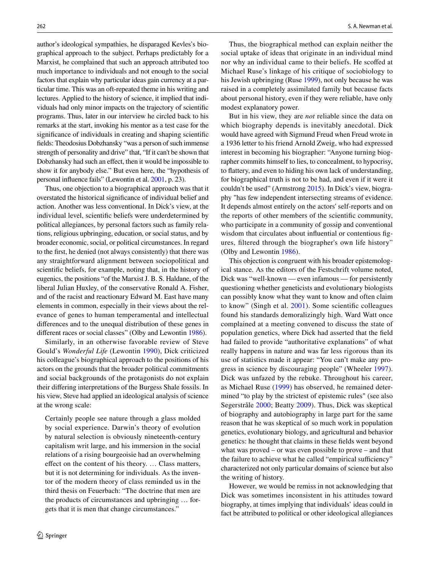author's ideological sympathies, he disparaged Kevles's biographical approach to the subject. Perhaps predictably for a Marxist, he complained that such an approach attributed too much importance to individuals and not enough to the social factors that explain why particular ideas gain currency at a particular time. This was an oft-repeated theme in his writing and lectures. Applied to the history of science, it implied that individuals had only minor impacts on the trajectory of scientifc programs. Thus, later in our interview he circled back to his remarks at the start, invoking his mentor as a test case for the signifcance of individuals in creating and shaping scientifc felds: Theodosius Dobzhansky "was a person of such immense strength of personality and drive" that, "If it can't be shown that Dobzhansky had such an effect, then it would be impossible to show it for anybody else." But even here, the "hypothesis of personal infuence fails" (Lewontin et al. [2001](#page-10-20), p. 23).

Thus, one objection to a biographical approach was that it overstated the historical signifcance of individual belief and action. Another was less conventional. In Dick's view, at the individual level, scientifc beliefs were underdetermined by political allegiances, by personal factors such as family relations, religious upbringing, education, or social status, and by broader economic, social, or political circumstances. In regard to the frst, he denied (not always consistently) that there was any straightforward alignment between sociopolitical and scientifc beliefs, for example, noting that, in the history of eugenics, the positions "of the Marxist J. B. S. Haldane, of the liberal Julian Huxley, of the conservative Ronald A. Fisher, and of the racist and reactionary Edward M. East have many elements in common, especially in their views about the relevance of genes to human temperamental and intellectual diferences and to the unequal distribution of these genes in diferent races or social classes" (Olby and Lewontin [1986\)](#page-10-21).

Similarly, in an otherwise favorable review of Steve Gould's *Wonderful Life* (Lewontin [1990](#page-10-22)), Dick criticized his colleague's biographical approach to the positions of his actors on the grounds that the broader political commitments and social backgrounds of the protagonists do not explain their difering interpretations of the Burgess Shale fossils. In his view, Steve had applied an ideological analysis of science at the wrong scale:

Certainly people see nature through a glass molded by social experience. Darwin's theory of evolution by natural selection is obviously nineteenth-century capitalism writ large, and his immersion in the social relations of a rising bourgeoisie had an overwhelming efect on the content of his theory. … Class matters, but it is not determining for individuals. As the inventor of the modern theory of class reminded us in the third thesis on Feuerbach: "The doctrine that men are the products of circumstances and upbringing … forgets that it is men that change circumstances."

Thus, the biographical method can explain neither the social uptake of ideas that originate in an individual mind nor why an individual came to their beliefs. He scofed at Michael Ruse's linkage of his critique of sociobiology to his Jewish upbringing (Ruse [1999\)](#page-10-23), not only because he was raised in a completely assimilated family but because facts about personal history, even if they were reliable, have only modest explanatory power.

But in his view, they are *not* reliable since the data on which biography depends is inevitably anecdotal. Dick would have agreed with Sigmund Freud when Freud wrote in a 1936 letter to his friend Arnold Zweig, who had expressed interest in becoming his biographer: "Anyone turning biographer commits himself to lies, to concealment, to hypocrisy, to fattery, and even to hiding his own lack of understanding, for biographical truth is not to be had, and even if it were it couldn't be used" (Armstrong [2015\)](#page-9-0). In Dick's view, biography "has few independent intersecting streams of evidence. It depends almost entirely on the actors' self-reports and on the reports of other members of the scientifc community, who participate in a community of gossip and conventional wisdom that circulates about infuential or contentious fgures, fltered through the biographer's own life history" (Olby and Lewontin [1986\)](#page-10-21).

This objection is congruent with his broader epistemological stance. As the editors of the Festschrift volume noted, Dick was "well-known — even infamous — for persistently questioning whether geneticists and evolutionary biologists can possibly know what they want to know and often claim to know" (Singh et al. [2001\)](#page-10-24). Some scientifc colleagues found his standards demoralizingly high. Ward Watt once complained at a meeting convened to discuss the state of population genetics, where Dick had asserted that the feld had failed to provide "authoritative explanations" of what really happens in nature and was far less rigorous than its use of statistics made it appear: "You can't make any progress in science by discouraging people" (Wheeler [1997](#page-10-25)). Dick was unfazed by the rebuke. Throughout his career, as Michael Ruse ([1999](#page-10-23)) has observed, he remained determined "to play by the strictest of epistemic rules" (see also Segerstråle [2000](#page-10-26); Beatty [2009](#page-9-1)). Thus, Dick was skeptical of biography and autobiography in large part for the same reason that he was skeptical of so much work in population genetics, evolutionary biology, and agricultural and behavior genetics: he thought that claims in these felds went beyond what was proved – or was even possible to prove – and that the failure to achieve what he called "empirical sufficiency" characterized not only particular domains of science but also the writing of history.

However, we would be remiss in not acknowledging that Dick was sometimes inconsistent in his attitudes toward biography, at times implying that individuals' ideas could in fact be attributed to political or other ideological allegiances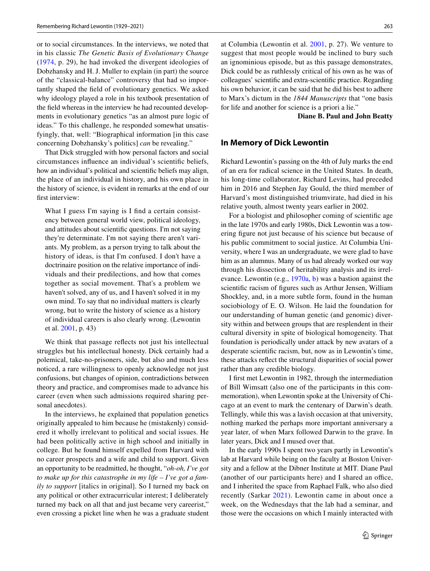or to social circumstances. In the interviews, we noted that in his classic *The Genetic Basis of Evolutionary Change* ([1974](#page-10-27), p. 29), he had invoked the divergent ideologies of Dobzhansky and H. J. Muller to explain (in part) the source of the "classical-balance" controversy that had so importantly shaped the feld of evolutionary genetics. We asked why ideology played a role in his textbook presentation of the feld whereas in the interview he had recounted developments in evolutionary genetics "as an almost pure logic of ideas." To this challenge, he responded somewhat unsatisfyingly, that, well: "Biographical information [in this case concerning Dobzhansky's politics] *can* be revealing."

That Dick struggled with how personal factors and social circumstances infuence an individual's scientifc beliefs, how an individual's political and scientifc beliefs may align, the place of an individual in history, and his own place in the history of science, is evident in remarks at the end of our frst interview:

What I guess I'm saying is I find a certain consistency between general world view, political ideology, and attitudes about scientifc questions. I'm not saying they're determinate. I'm not saying there aren't variants. My problem, as a person trying to talk about the history of ideas, is that I'm confused. I don't have a doctrinaire position on the relative importance of individuals and their predilections, and how that comes together as social movement. That's a problem we haven't solved, any of us, and I haven't solved it in my own mind. To say that no individual matters is clearly wrong, but to write the history of science as a history of individual careers is also clearly wrong. (Lewontin et al. [2001,](#page-10-20) p. 43)

We think that passage reflects not just his intellectual struggles but his intellectual honesty. Dick certainly had a polemical, take-no-prisoners, side, but also and much less noticed, a rare willingness to openly acknowledge not just confusions, but changes of opinion, contradictions between theory and practice, and compromises made to advance his career (even when such admissions required sharing personal anecdotes).

In the interviews, he explained that population genetics originally appealed to him because he (mistakenly) considered it wholly irrelevant to political and social issues. He had been politically active in high school and initially in college. But he found himself expelled from Harvard with no career prospects and a wife and child to support. Given an opportunity to be readmitted, he thought, "*oh-oh, I've got to make up for this catastrophe in my life – I've got a family to support* [italics in original]. So I turned my back on any political or other extracurricular interest; I deliberately turned my back on all that and just became very careerist," even crossing a picket line when he was a graduate student at Columbia (Lewontin et al. [2001](#page-10-20), p. 27). We venture to suggest that most people would be inclined to bury such an ignominious episode, but as this passage demonstrates, Dick could be as ruthlessly critical of his own as he was of colleagues' scientifc and extra-scientifc practice. Regarding his own behavior, it can be said that he did his best to adhere to Marx's dictum in the *1844 Manuscripts* that "one basis for life and another for science is a priori a lie."

**Diane B. Paul and John Beatty**

#### **In Memory of Dick Lewontin**

Richard Lewontin's passing on the 4th of July marks the end of an era for radical science in the United States. In death, his long-time collaborator, Richard Levins, had preceded him in 2016 and Stephen Jay Gould, the third member of Harvard's most distinguished triumvirate, had died in his relative youth, almost twenty years earlier in 2002.

For a biologist and philosopher coming of scientifc age in the late 1970s and early 1980s, Dick Lewontin was a towering fgure not just because of his science but because of his public commitment to social justice. At Columbia University, where I was an undergraduate, we were glad to have him as an alumnus. Many of us had already worked our way through his dissection of heritability analysis and its irrelevance. Lewontin (e.g., [1970a,](#page-10-1) [b\)](#page-10-28) was a bastion against the scientifc racism of fgures such as Arthur Jensen, William Shockley, and, in a more subtle form, found in the human sociobiology of E. O. Wilson. He laid the foundation for our understanding of human genetic (and genomic) diversity within and between groups that are resplendent in their cultural diversity in spite of biological homogeneity. That foundation is periodically under attack by new avatars of a desperate scientifc racism, but, now as in Lewontin's time, these attacks refect the structural disparities of social power rather than any credible biology.

I frst met Lewontin in 1982, through the intermediation of Bill Wimsatt (also one of the participants in this commemoration), when Lewontin spoke at the University of Chicago at an event to mark the centenary of Darwin's death. Tellingly, while this was a lavish occasion at that university, nothing marked the perhaps more important anniversary a year later, of when Marx followed Darwin to the grave. In later years, Dick and I mused over that.

In the early 1990s I spent two years partly in Lewontin's lab at Harvard while being on the faculty at Boston University and a fellow at the Dibner Institute at MIT. Diane Paul (another of our participants here) and I shared an office, and I inherited the space from Raphael Falk, who also died recently (Sarkar [2021](#page-10-29)). Lewontin came in about once a week, on the Wednesdays that the lab had a seminar, and those were the occasions on which I mainly interacted with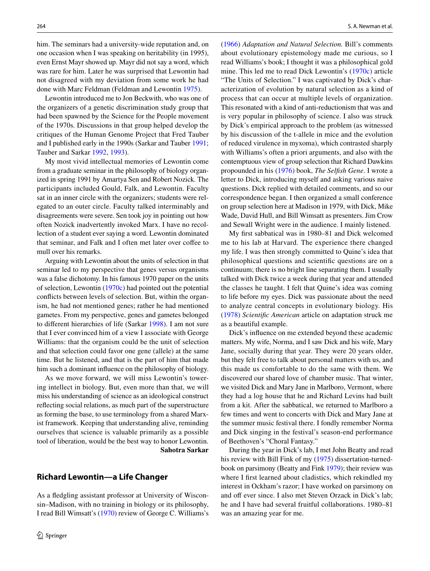him. The seminars had a university-wide reputation and, on one occasion when I was speaking on heritability (in 1995), even Ernst Mayr showed up. Mayr did not say a word, which was rare for him. Later he was surprised that Lewontin had not disagreed with my deviation from some work he had done with Marc Feldman (Feldman and Lewontin [1975](#page-10-30)).

Lewontin introduced me to Jon Beckwith, who was one of the organizers of a genetic discrimination study group that had been spawned by the Science for the People movement of the 1970s. Discussions in that group helped develop the critiques of the Human Genome Project that Fred Tauber and I published early in the 1990s (Sarkar and Tauber [1991](#page-10-31); Tauber and Sarkar [1992,](#page-10-32) [1993\)](#page-10-33).

My most vivid intellectual memories of Lewontin come from a graduate seminar in the philosophy of biology organized in spring 1991 by Amartya Sen and Robert Nozick. The participants included Gould, Falk, and Lewontin. Faculty sat in an inner circle with the organizers; students were relegated to an outer circle. Faculty talked interminably and disagreements were severe. Sen took joy in pointing out how often Nozick inadvertently invoked Marx. I have no recollection of a student ever saying a word. Lewontin dominated that seminar, and Falk and I often met later over coffee to mull over his remarks.

Arguing with Lewontin about the units of selection in that seminar led to my perspective that genes versus organisms was a false dichotomy. In his famous 1970 paper on the units of selection, Lewontin [\(1970c\)](#page-10-34) had pointed out the potential conficts between levels of selection. But, within the organism, he had not mentioned genes; rather he had mentioned gametes. From my perspective, genes and gametes belonged to diferent hierarchies of life (Sarkar [1998](#page-10-35)). I am not sure that I ever convinced him of a view I associate with George Williams: that the organism could be the unit of selection and that selection could favor one gene (allele) at the same time. But he listened, and that is the part of him that made him such a dominant infuence on the philosophy of biology.

As we move forward, we will miss Lewontin's towering intellect in biology. But, even more than that, we will miss his understanding of science as an ideological construct refecting social relations, as much part of the superstructure as forming the base, to use terminology from a shared Marxist framework. Keeping that understanding alive, reminding ourselves that science is valuable primarily as a possible tool of liberation, would be the best way to honor Lewontin. **Sahotra Sarkar**

### **Richard Lewontin—a Life Changer**

As a fedgling assistant professor at University of Wisconsin–Madison, with no training in biology or its philosophy, I read Bill Wimsatt's ([1970\)](#page-10-36) review of George C. Williams's ([1966\)](#page-10-37) *Adaptation and Natural Selection.* Bill's comments about evolutionary epistemology made me curious, so I read Williams's book; I thought it was a philosophical gold mine. This led me to read Dick Lewontin's ([1970c](#page-10-34)) article "The Units of Selection." I was captivated by Dick's characterization of evolution by natural selection as a kind of process that can occur at multiple levels of organization. This resonated with a kind of anti-reductionism that was and is very popular in philosophy of science. I also was struck by Dick's empirical approach to the problem (as witnessed by his discussion of the t-allele in mice and the evolution of reduced virulence in myxoma), which contrasted sharply with Williams's often a priori arguments, and also with the contemptuous view of group selection that Richard Dawkins propounded in his ([1976\)](#page-10-38) book, *The Selfsh Gene*. I wrote a letter to Dick, introducing myself and asking various naive questions. Dick replied with detailed comments, and so our correspondence began. I then organized a small conference on group selection here at Madison in 1979, with Dick, Mike Wade, David Hull, and Bill Wimsatt as presenters. Jim Crow and Sewall Wright were in the audience. I mainly listened.

My frst sabbatical was in 1980–81 and Dick welcomed me to his lab at Harvard. The experience there changed my life. I was then strongly committed to Quine's idea that philosophical questions and scientifc questions are on a continuum; there is no bright line separating them. I usually talked with Dick twice a week during that year and attended the classes he taught. I felt that Quine's idea was coming to life before my eyes. Dick was passionate about the need to analyze central concepts in evolutionary biology. His ([1978\)](#page-10-39) *Scientifc American* article on adaptation struck me as a beautiful example.

Dick's infuence on me extended beyond these academic matters. My wife, Norma, and I saw Dick and his wife, Mary Jane, socially during that year. They were 20 years older, but they felt free to talk about personal matters with us, and this made us comfortable to do the same with them. We discovered our shared love of chamber music. That winter, we visited Dick and Mary Jane in Marlboro, Vermont, where they had a log house that he and Richard Levins had built from a kit. After the sabbatical, we returned to Marlboro a few times and went to concerts with Dick and Mary Jane at the summer music festival there. I fondly remember Norma and Dick singing in the festival's season-end performance of Beethoven's "Choral Fantasy."

During the year in Dick's lab, I met John Beatty and read his review with Bill Fink of my [\(1975\)](#page-10-40) dissertation-turnedbook on parsimony (Beatty and Fink [1979\)](#page-9-2); their review was where I first learned about cladistics, which rekindled my interest in Ockham's razor; I have worked on parsimony on and off ever since. I also met Steven Orzack in Dick's lab; he and I have had several fruitful collaborations. 1980–81 was an amazing year for me.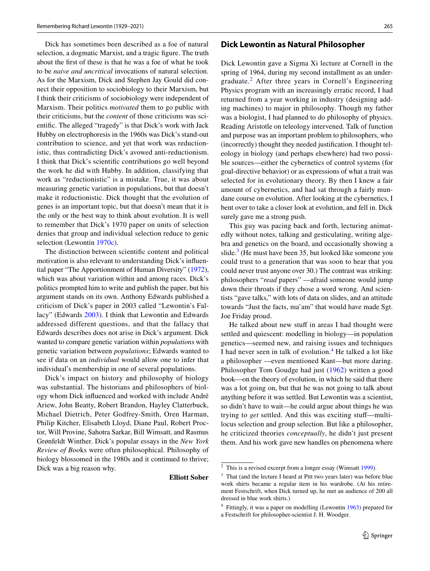Dick has sometimes been described as a foe of natural selection, a dogmatic Marxist, and a tragic fgure. The truth about the frst of these is that he was a foe of what he took to be *naive and uncritical* invocations of natural selection. As for the Marxism, Dick and Stephen Jay Gould did connect their opposition to sociobiology to their Marxism, but I think their criticisms of sociobiology were independent of Marxism. Their politics *motivated* them to go public with their criticisms, but the *content* of those criticisms was scientifc. The alleged "tragedy" is that Dick's work with Jack Hubby on electrophoresis in the 1960s was Dick's stand-out contribution to science, and yet that work was reductionistic, thus contradicting Dick's avowed anti-reductionism. I think that Dick's scientifc contributions go well beyond the work he did with Hubby. In addition, classifying that work as "reductionistic" is a mistake. True, it was about measuring genetic variation in populations, but that doesn't make it reductionistic. Dick thought that the evolution of genes is an important topic, but that doesn't mean that it is the only or the best way to think about evolution. It is well to remember that Dick's 1970 paper on units of selection denies that group and individual selection reduce to genic selection (Lewontin [1970c](#page-10-34)).

The distinction between scientifc content and political motivation is also relevant to understanding Dick's infuential paper "The Apportionment of Human Diversity" ([1972](#page-10-41)), which was about variation within and among races. Dick's politics prompted him to write and publish the paper, but his argument stands on its own. Anthony Edwards published a criticism of Dick's paper in 2003 called "Lewontin's Fallacy" (Edwards [2003](#page-10-42)). I think that Lewontin and Edwards addressed different questions, and that the fallacy that Edwards describes does not arise in Dick's argument. Dick wanted to compare genetic variation within *populations* with genetic variation between *populations*; Edwards wanted to see if data on an *individual* would allow one to infer that individual's membership in one of several populations.

Dick's impact on history and philosophy of biology was substantial. The historians and philosophers of biology whom Dick infuenced and worked with include André Ariew, John Beatty, Robert Brandon, Hayley Clatterbuck, Michael Dietrich, Peter Godfrey-Smith, Oren Harman, Philip Kitcher, Elisabeth Lloyd, Diane Paul, Robert Proctor, Will Provine, Sahotra Sarkar, Bill Wimsatt, and Rasmus Grønfeldt Winther. Dick's popular essays in the *New York Review of Boo*ks were often philosophical. Philosophy of biology blossomed in the 1980s and it continued to thrive; Dick was a big reason why.

#### **Elliott Sober**

### **Dick Lewontin as Natural Philosopher**

Dick Lewontin gave a Sigma Xi lecture at Cornell in the spring of 1964, during my second installment as an undergraduate.[2](#page-8-0) After three years in Cornell's Engineering Physics program with an increasingly erratic record, I had returned from a year working in industry (designing adding machines) to major in philosophy. Though my father was a biologist, I had planned to do philosophy of physics. Reading Aristotle on teleology intervened. Talk of function and purpose was an important problem to philosophers, who (incorrectly) thought they needed justifcation. I thought teleology in biology (and perhaps elsewhere) had two possible sources—either the cybernetics of control systems (for goal-directive behavior) or as expressions of what a trait was selected for in evolutionary theory. By then I knew a fair amount of cybernetics, and had sat through a fairly mundane course on evolution. After looking at the cybernetics, I bent over to take a closer look at evolution, and fell in. Dick surely gave me a strong push.

This guy was pacing back and forth, lecturing animatedly without notes, talking and gesticulating, writing algebra and genetics on the board, and occasionally showing a slide. $3$  (He must have been 35, but looked like someone you could trust to a generation that was soon to hear that you could never trust anyone over 30.) The contrast was striking: philosophers "*read* papers" —afraid someone would jump down their throats if they chose a word wrong. And scientists "gave talks," with lots of data on slides, and an attitude towards "Just the facts, ma'am" that would have made Sgt. Joe Friday proud.

He talked about new stuff in areas I had thought were settled and quiescent: modelling in biology—in population genetics—seemed new, and raising issues and techniques I had never seen in talk of evolution.<sup>[4](#page-8-2)</sup> He talked a lot like a philosopher —even mentioned Kant—but more daring. Philosopher Tom Goudge had just ([1962\)](#page-10-43) written a good book—on the theory of evolution, in which he said that there was a lot going on, but that he was not going to talk about anything before it was settled. But Lewontin was a scientist, so didn't have to wait—he could argue about things he was trying to *get* settled. And this was exciting stuf—multilocus selection and group selection. But like a philosopher, he criticized theories *conceptually*, he didn't just present them. And his work gave new handles on phenomena where

<span id="page-8-0"></span> $2$  This is a revised excerpt from a longer essay (Wimsatt [1999\)](#page-10-44).

<span id="page-8-1"></span><sup>&</sup>lt;sup>3</sup> That (and the lecture I heard at Pitt two years later) was before blue work shirts became a regular item in his wardrobe. (At his retirement Festschrift, when Dick turned up, he met an audience of 200 all dressed in blue work shirts.)

<span id="page-8-2"></span><sup>4</sup> Fittingly, it was a paper on modelling (Lewontin [1963\)](#page-10-45) prepared for a Festschrift for philosopher-scientist J. H. Woodger.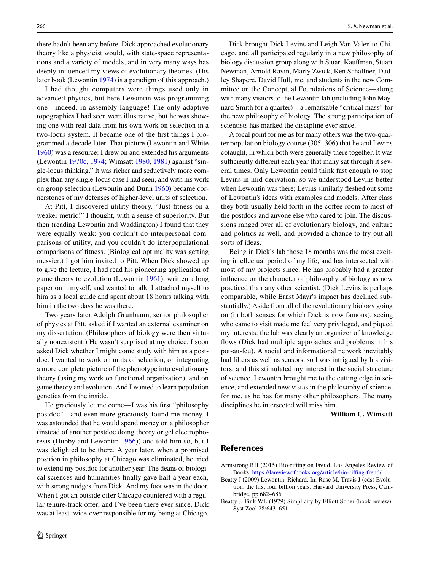there hadn't been any before. Dick approached evolutionary theory like a physicist would, with state-space representations and a variety of models, and in very many ways has deeply infuenced my views of evolutionary theories. (His later book (Lewontin [1974](#page-10-27)) is a paradigm of this approach.)

I had thought computers were things used only in advanced physics, but here Lewontin was programming one—indeed, in assembly language! The only adaptive topographies I had seen were illustrative, but he was showing one with real data from his own work on selection in a two-locus system. It became one of the frst things I programmed a decade later. That picture (Lewontin and White [1960\)](#page-10-46) was a resource: I drew on and extended his arguments (Lewontin [1970c,](#page-10-34) [1974](#page-10-27); Wimsatt [1980](#page-10-47), [1981\)](#page-10-48) against "single-locus thinking." It was richer and seductively more complex than any single-locus case I had seen, and with his work on group selection (Lewontin and Dunn [1960](#page-10-49)) became cornerstones of my defenses of higher-level units of selection.

At Pitt, I discovered utility theory. "Just ftness on a weaker metric!" I thought, with a sense of superiority. But then (reading Lewontin and Waddington) I found that they were equally weak: you couldn't do interpersonal comparisons of utility, and you couldn't do interpopulational comparisons of ftness. (Biological optimality was getting messier.) I got him invited to Pitt. When Dick showed up to give the lecture, I had read his pioneering application of game theory to evolution (Lewontin [1961\)](#page-10-50), written a long paper on it myself, and wanted to talk. I attached myself to him as a local guide and spent about 18 hours talking with him in the two days he was there.

Two years later Adolph Grunbaum, senior philosopher of physics at Pitt, asked if I wanted an external examiner on my dissertation. (Philosophers of biology were then virtually nonexistent.) He wasn't surprised at my choice. I soon asked Dick whether I might come study with him as a postdoc. I wanted to work on units of selection, on integrating a more complete picture of the phenotype into evolutionary theory (using my work on functional organization), and on game theory and evolution. And I wanted to learn population genetics from the inside.

He graciously let me come—I was his frst "philosophy postdoc"—and even more graciously found me money. I was astounded that he would spend money on a philosopher (instead of another postdoc doing theory or gel electrophoresis (Hubby and Lewontin [1966](#page-10-51))) and told him so, but I was delighted to be there. A year later, when a promised position in philosophy at Chicago was eliminated, he tried to extend my postdoc for another year. The deans of biological sciences and humanities fnally gave half a year each, with strong nudges from Dick. And my foot was in the door. When I got an outside offer Chicago countered with a regular tenure-track offer, and I've been there ever since. Dick was at least twice-over responsible for my being at Chicago.

Dick brought Dick Levins and Leigh Van Valen to Chicago, and all participated regularly in a new philosophy of biology discussion group along with Stuart Kaufman, Stuart Newman, Arnold Ravin, Marty Zwick, Ken Schafner, Dudley Shapere, David Hull, me, and students in the new Committee on the Conceptual Foundations of Science—along with many visitors to the Lewontin lab (including John Maynard Smith for a quarter)—a remarkable "critical mass" for the new philosophy of biology. The strong participation of scientists has marked the discipline ever since.

A focal point for me as for many others was the two-quarter population biology course (305–306) that he and Levins cotaught, in which both were generally there together. It was sufficiently different each year that many sat through it several times. Only Lewontin could think fast enough to stop Levins in mid-derivation, so we understood Levins better when Lewontin was there; Levins similarly feshed out some of Lewontin's ideas with examples and models. After class they both usually held forth in the coffee room to most of the postdocs and anyone else who cared to join. The discussions ranged over all of evolutionary biology, and culture and politics as well, and provided a chance to try out all sorts of ideas.

Being in Dick's lab those 18 months was the most exciting intellectual period of my life, and has intersected with most of my projects since. He has probably had a greater infuence on the character of philosophy of biology as now practiced than any other scientist. (Dick Levins is perhaps comparable, while Ernst Mayr's impact has declined substantially.) Aside from all of the revolutionary biology going on (in both senses for which Dick is now famous), seeing who came to visit made me feel very privileged, and piqued my interests: the lab was clearly an organizer of knowledge flows (Dick had multiple approaches and problems in his pot-au-feu). A social and informational network inevitably had flters as well as sensors, so I was intrigued by his visitors, and this stimulated my interest in the social structure of science. Lewontin brought me to the cutting edge in science, and extended new vistas in the philosophy of science, for me, as he has for many other philosophers. The many disciplines he intersected will miss him.

**William C. Wimsatt**

#### **References**

<span id="page-9-0"></span>Armstrong RH (2015) Bio-rifng on Freud. Los Angeles Review of Books. [https://lareviewofbooks.org/article/bio-rifng-freud/](https://lareviewofbooks.org/article/bio-riffing-freud/)

<span id="page-9-1"></span>Beatty J (2009) Lewontin, Richard. In: Ruse M, Travis J (eds) Evolution: the frst four billion years. Harvard University Press, Cambridge, pp 682–686

<span id="page-9-2"></span>Beatty J, Fink WL (1979) Simplicity by Elliott Sober (book review). Syst Zool 28:643–651